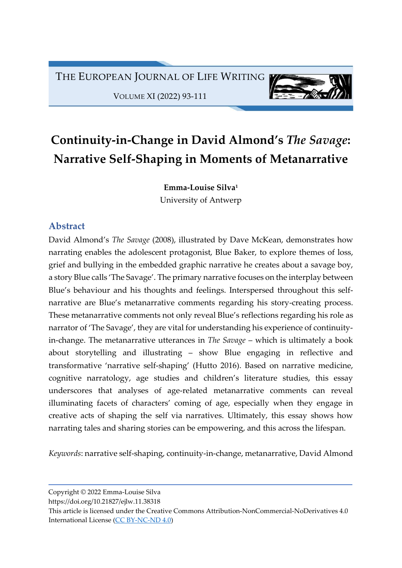THE EUROPEAN JOURNAL OF LIFE WRITING

VOLUME XI (2022) 93-111

# Continuity-in-Change in David Almond's The Savage: Narrative Self-Shaping in Moments of Metanarrative

Emma-Louise Silva<sup>1</sup> University of Antwerp

## Abstract

David Almond's The Savage (2008), illustrated by Dave McKean, demonstrates how narrating enables the adolescent protagonist, Blue Baker, to explore themes of loss, grief and bullying in the embedded graphic narrative he creates about a savage boy, a story Blue calls 'The Savage'. The primary narrative focuses on the interplay between Blue's behaviour and his thoughts and feelings. Interspersed throughout this selfnarrative are Blue's metanarrative comments regarding his story-creating process. These metanarrative comments not only reveal Blue's reflections regarding his role as narrator of 'The Savage', they are vital for understanding his experience of continuityin-change. The metanarrative utterances in The Savage – which is ultimately a book about storytelling and illustrating – show Blue engaging in reflective and transformative 'narrative self-shaping' (Hutto 2016). Based on narrative medicine, cognitive narratology, age studies and children's literature studies, this essay underscores that analyses of age-related metanarrative comments can reveal illuminating facets of characters' coming of age, especially when they engage in creative acts of shaping the self via narratives. Ultimately, this essay shows how narrating tales and sharing stories can be empowering, and this across the lifespan.

Keywords: narrative self-shaping, continuity-in-change, metanarrative, David Almond

Copyright © 2022 Emma-Louise Silva

https://doi.org/10.21827/ejlw.11.38318

This article is licensed under the Creative Commons Attribution-NonCommercial-NoDerivatives 4.0 International License (CC BY-NC-ND 4.0)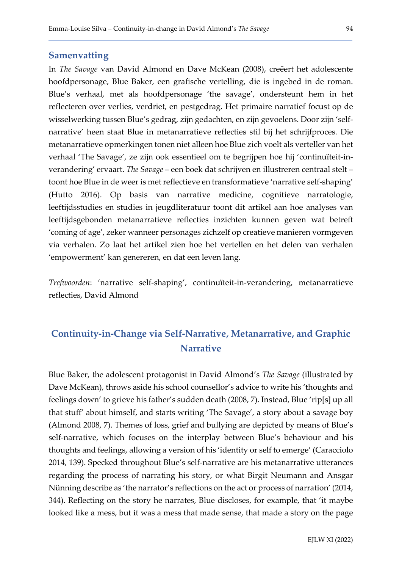#### **Samenvatting**

In The Savage van David Almond en Dave McKean (2008), creëert het adolescente hoofdpersonage, Blue Baker, een grafische vertelling, die is ingebed in de roman. Blue's verhaal, met als hoofdpersonage 'the savage', ondersteunt hem in het reflecteren over verlies, verdriet, en pestgedrag. Het primaire narratief focust op de wisselwerking tussen Blue's gedrag, zijn gedachten, en zijn gevoelens. Door zijn 'selfnarrative' heen staat Blue in metanarratieve reflecties stil bij het schrijfproces. Die metanarratieve opmerkingen tonen niet alleen hoe Blue zich voelt als verteller van het verhaal 'The Savage', ze zijn ook essentieel om te begrijpen hoe hij 'continuïteit-inverandering' ervaart. The Savage – een boek dat schrijven en illustreren centraal stelt – toont hoe Blue in de weer is met reflectieve en transformatieve 'narrative self-shaping' (Hutto 2016). Op basis van narrative medicine, cognitieve narratologie, leeftijdsstudies en studies in jeugdliteratuur toont dit artikel aan hoe analyses van leeftijdsgebonden metanarratieve reflecties inzichten kunnen geven wat betreft 'coming of age', zeker wanneer personages zichzelf op creatieve manieren vormgeven via verhalen. Zo laat het artikel zien hoe het vertellen en het delen van verhalen 'empowerment' kan genereren, en dat een leven lang.

Trefwoorden: 'narrative self-shaping', continuïteit-in-verandering, metanarratieve reflecties, David Almond

# Continuity-in-Change via Self-Narrative, Metanarrative, and Graphic **Narrative**

Blue Baker, the adolescent protagonist in David Almond's The Savage (illustrated by Dave McKean), throws aside his school counsellor's advice to write his 'thoughts and feelings down' to grieve his father's sudden death (2008, 7). Instead, Blue 'rip[s] up all that stuff' about himself, and starts writing 'The Savage', a story about a savage boy (Almond 2008, 7). Themes of loss, grief and bullying are depicted by means of Blue's self-narrative, which focuses on the interplay between Blue's behaviour and his thoughts and feelings, allowing a version of his 'identity or self to emerge' (Caracciolo 2014, 139). Specked throughout Blue's self-narrative are his metanarrative utterances regarding the process of narrating his story, or what Birgit Neumann and Ansgar Nünning describe as 'the narrator's reflections on the act or process of narration' (2014, 344). Reflecting on the story he narrates, Blue discloses, for example, that 'it maybe looked like a mess, but it was a mess that made sense, that made a story on the page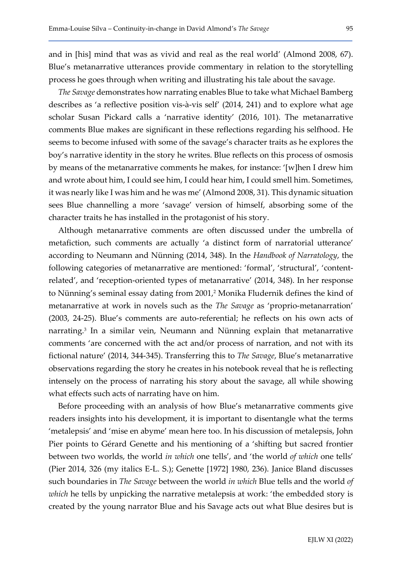and in [his] mind that was as vivid and real as the real world' (Almond 2008, 67). Blue's metanarrative utterances provide commentary in relation to the storytelling process he goes through when writing and illustrating his tale about the savage.

The Savage demonstrates how narrating enables Blue to take what Michael Bamberg describes as 'a reflective position vis-à-vis self' (2014, 241) and to explore what age scholar Susan Pickard calls a 'narrative identity' (2016, 101). The metanarrative comments Blue makes are significant in these reflections regarding his selfhood. He seems to become infused with some of the savage's character traits as he explores the boy's narrative identity in the story he writes. Blue reflects on this process of osmosis by means of the metanarrative comments he makes, for instance: '[w]hen I drew him and wrote about him, I could see him, I could hear him, I could smell him. Sometimes, it was nearly like I was him and he was me' (Almond 2008, 31). This dynamic situation sees Blue channelling a more 'savage' version of himself, absorbing some of the character traits he has installed in the protagonist of his story.

Although metanarrative comments are often discussed under the umbrella of metafiction, such comments are actually 'a distinct form of narratorial utterance' according to Neumann and Nünning (2014, 348). In the Handbook of Narratology, the following categories of metanarrative are mentioned: 'formal', 'structural', 'contentrelated', and 'reception-oriented types of metanarrative' (2014, 348). In her response to Nünning's seminal essay dating from 2001,<sup>2</sup> Monika Fludernik defines the kind of metanarrative at work in novels such as the The Savage as 'proprio-metanarration' (2003, 24-25). Blue's comments are auto-referential; he reflects on his own acts of narrating.<sup>3</sup> In a similar vein, Neumann and Nünning explain that metanarrative comments 'are concerned with the act and/or process of narration, and not with its fictional nature' (2014, 344-345). Transferring this to The Savage, Blue's metanarrative observations regarding the story he creates in his notebook reveal that he is reflecting intensely on the process of narrating his story about the savage, all while showing what effects such acts of narrating have on him.

Before proceeding with an analysis of how Blue's metanarrative comments give readers insights into his development, it is important to disentangle what the terms 'metalepsis' and 'mise en abyme' mean here too. In his discussion of metalepsis, John Pier points to Gérard Genette and his mentioning of a 'shifting but sacred frontier between two worlds, the world in which one tells', and 'the world of which one tells' (Pier 2014, 326 (my italics E-L. S.); Genette [1972] 1980, 236). Janice Bland discusses such boundaries in *The Savage* between the world *in which* Blue tells and the world of which he tells by unpicking the narrative metalepsis at work: 'the embedded story is created by the young narrator Blue and his Savage acts out what Blue desires but is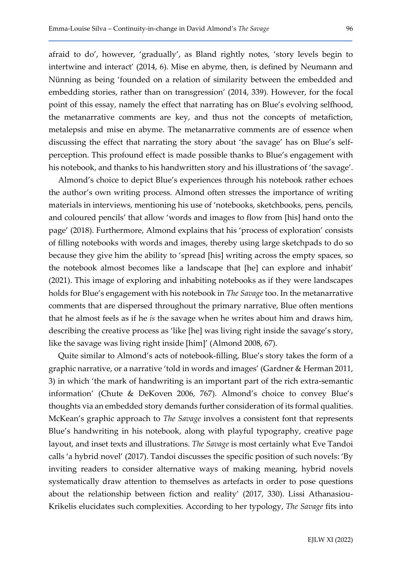embedding stories, rather than on transgression' (2014, 339). However, for the focal point of this essay, namely the effect that narrating has on Blue's evolving selfhood, the metanarrative comments are key, and thus not the concepts of metafiction, metalepsis and mise en abyme. The metanarrative comments are of essence when discussing the effect that narrating the story about 'the savage' has on Blue's selfperception. This profound effect is made possible thanks to Blue's engagement with his notebook, and thanks to his handwritten story and his illustrations of 'the savage'.

Almond's choice to depict Blue's experiences through his notebook rather echoes the author's own writing process. Almond often stresses the importance of writing materials in interviews, mentioning his use of 'notebooks, sketchbooks, pens, pencils, and coloured pencils' that allow 'words and images to flow from [his] hand onto the page' (2018). Furthermore, Almond explains that his 'process of exploration' consists of filling notebooks with words and images, thereby using large sketchpads to do so because they give him the ability to 'spread [his] writing across the empty spaces, so the notebook almost becomes like a landscape that [he] can explore and inhabit' (2021). This image of exploring and inhabiting notebooks as if they were landscapes holds for Blue's engagement with his notebook in The Savage too. In the metanarrative comments that are dispersed throughout the primary narrative, Blue often mentions that he almost feels as if he is the savage when he writes about him and draws him, describing the creative process as 'like [he] was living right inside the savage's story, like the savage was living right inside [him]' (Almond 2008, 67).

Quite similar to Almond's acts of notebook-filling, Blue's story takes the form of a graphic narrative, or a narrative 'told in words and images' (Gardner & Herman 2011, 3) in which 'the mark of handwriting is an important part of the rich extra-semantic information' (Chute & DeKoven 2006, 767). Almond's choice to convey Blue's thoughts via an embedded story demands further consideration of its formal qualities. McKean's graphic approach to The Savage involves a consistent font that represents Blue's handwriting in his notebook, along with playful typography, creative page layout, and inset texts and illustrations. The Savage is most certainly what Eve Tandoi calls 'a hybrid novel' (2017). Tandoi discusses the specific position of such novels: 'By inviting readers to consider alternative ways of making meaning, hybrid novels systematically draw attention to themselves as artefacts in order to pose questions about the relationship between fiction and reality' (2017, 330). Lissi Athanasiou-Krikelis elucidates such complexities. According to her typology, The Savage fits into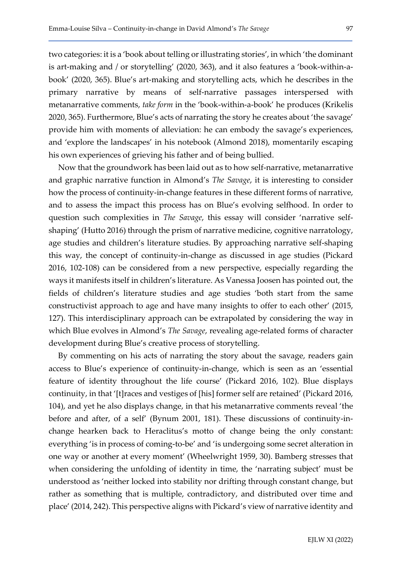two categories: it is a 'book about telling or illustrating stories', in which 'the dominant is art-making and / or storytelling' (2020, 363), and it also features a 'book-within-abook' (2020, 365). Blue's art-making and storytelling acts, which he describes in the primary narrative by means of self-narrative passages interspersed with metanarrative comments, take form in the 'book-within-a-book' he produces (Krikelis 2020, 365). Furthermore, Blue's acts of narrating the story he creates about 'the savage' provide him with moments of alleviation: he can embody the savage's experiences, and 'explore the landscapes' in his notebook (Almond 2018), momentarily escaping his own experiences of grieving his father and of being bullied.

Now that the groundwork has been laid out as to how self-narrative, metanarrative and graphic narrative function in Almond's The Savage, it is interesting to consider how the process of continuity-in-change features in these different forms of narrative, and to assess the impact this process has on Blue's evolving selfhood. In order to question such complexities in The Savage, this essay will consider 'narrative selfshaping' (Hutto 2016) through the prism of narrative medicine, cognitive narratology, age studies and children's literature studies. By approaching narrative self-shaping this way, the concept of continuity-in-change as discussed in age studies (Pickard 2016, 102-108) can be considered from a new perspective, especially regarding the ways it manifests itself in children's literature. As Vanessa Joosen has pointed out, the fields of children's literature studies and age studies 'both start from the same constructivist approach to age and have many insights to offer to each other' (2015, 127). This interdisciplinary approach can be extrapolated by considering the way in which Blue evolves in Almond's The Savage, revealing age-related forms of character development during Blue's creative process of storytelling.

By commenting on his acts of narrating the story about the savage, readers gain access to Blue's experience of continuity-in-change, which is seen as an 'essential feature of identity throughout the life course' (Pickard 2016, 102). Blue displays continuity, in that '[t]races and vestiges of [his] former self are retained' (Pickard 2016, 104), and yet he also displays change, in that his metanarrative comments reveal 'the before and after, of a self' (Bynum 2001, 181). These discussions of continuity-inchange hearken back to Heraclitus's motto of change being the only constant: everything 'is in process of coming-to-be' and 'is undergoing some secret alteration in one way or another at every moment' (Wheelwright 1959, 30). Bamberg stresses that when considering the unfolding of identity in time, the 'narrating subject' must be understood as 'neither locked into stability nor drifting through constant change, but rather as something that is multiple, contradictory, and distributed over time and place' (2014, 242). This perspective aligns with Pickard's view of narrative identity and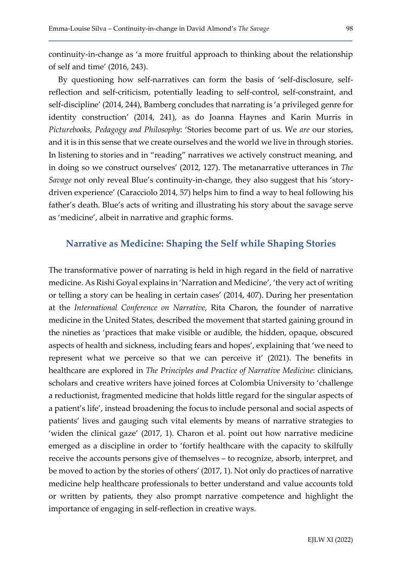continuity-in-change as 'a more fruitful approach to thinking about the relationship of self and time' (2016, 243).

By questioning how self-narratives can form the basis of 'self-disclosure, selfreflection and self-criticism, potentially leading to self-control, self-constraint, and self-discipline' (2014, 244), Bamberg concludes that narrating is 'a privileged genre for identity construction' (2014, 241), as do Joanna Haynes and Karin Murris in Picturebooks, Pedagogy and Philosophy: 'Stories become part of us. We are our stories, and it is in this sense that we create ourselves and the world we live in through stories. In listening to stories and in "reading" narratives we actively construct meaning, and in doing so we construct ourselves' (2012, 127). The metanarrative utterances in The Savage not only reveal Blue's continuity-in-change, they also suggest that his 'storydriven experience' (Caracciolo 2014, 57) helps him to find a way to heal following his father's death. Blue's acts of writing and illustrating his story about the savage serve as 'medicine', albeit in narrative and graphic forms.

#### Narrative as Medicine: Shaping the Self while Shaping Stories

The transformative power of narrating is held in high regard in the field of narrative medicine. As Rishi Goyal explains in 'Narration and Medicine', 'the very act of writing or telling a story can be healing in certain cases' (2014, 407). During her presentation at the International Conference on Narrative, Rita Charon, the founder of narrative medicine in the United States, described the movement that started gaining ground in the nineties as 'practices that make visible or audible, the hidden, opaque, obscured aspects of health and sickness, including fears and hopes', explaining that 'we need to represent what we perceive so that we can perceive it' (2021). The benefits in healthcare are explored in The Principles and Practice of Narrative Medicine: clinicians, scholars and creative writers have joined forces at Colombia University to 'challenge a reductionist, fragmented medicine that holds little regard for the singular aspects of a patient's life', instead broadening the focus to include personal and social aspects of patients' lives and gauging such vital elements by means of narrative strategies to 'widen the clinical gaze' (2017, 1). Charon et al. point out how narrative medicine emerged as a discipline in order to 'fortify healthcare with the capacity to skilfully receive the accounts persons give of themselves – to recognize, absorb, interpret, and be moved to action by the stories of others' (2017, 1). Not only do practices of narrative medicine help healthcare professionals to better understand and value accounts told or written by patients, they also prompt narrative competence and highlight the importance of engaging in self-reflection in creative ways.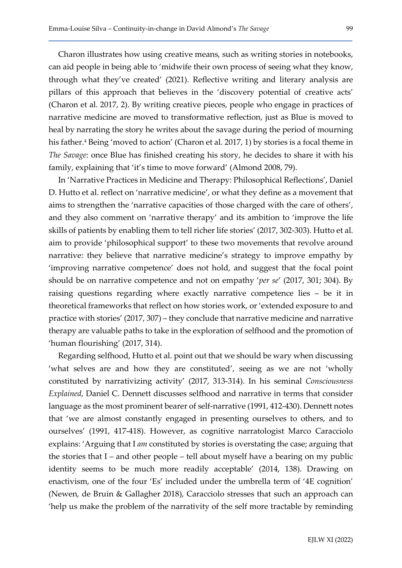Charon illustrates how using creative means, such as writing stories in notebooks, can aid people in being able to 'midwife their own process of seeing what they know, through what they've created' (2021). Reflective writing and literary analysis are pillars of this approach that believes in the 'discovery potential of creative acts' (Charon et al. 2017, 2). By writing creative pieces, people who engage in practices of narrative medicine are moved to transformative reflection, just as Blue is moved to heal by narrating the story he writes about the savage during the period of mourning his father.<sup>4</sup> Being 'moved to action' (Charon et al. 2017, 1) by stories is a focal theme in The Savage: once Blue has finished creating his story, he decides to share it with his family, explaining that 'it's time to move forward' (Almond 2008, 79).

In 'Narrative Practices in Medicine and Therapy: Philosophical Reflections', Daniel D. Hutto et al. reflect on 'narrative medicine', or what they define as a movement that aims to strengthen the 'narrative capacities of those charged with the care of others', and they also comment on 'narrative therapy' and its ambition to 'improve the life skills of patients by enabling them to tell richer life stories' (2017, 302-303). Hutto et al. aim to provide 'philosophical support' to these two movements that revolve around narrative: they believe that narrative medicine's strategy to improve empathy by 'improving narrative competence' does not hold, and suggest that the focal point should be on narrative competence and not on empathy 'per se' (2017, 301; 304). By raising questions regarding where exactly narrative competence lies – be it in theoretical frameworks that reflect on how stories work, or 'extended exposure to and practice with stories' (2017, 307) – they conclude that narrative medicine and narrative therapy are valuable paths to take in the exploration of selfhood and the promotion of 'human flourishing' (2017, 314).

Regarding selfhood, Hutto et al. point out that we should be wary when discussing 'what selves are and how they are constituted', seeing as we are not 'wholly constituted by narrativizing activity' (2017, 313-314). In his seminal Consciousness Explained, Daniel C. Dennett discusses selfhood and narrative in terms that consider language as the most prominent bearer of self-narrative (1991, 412-430). Dennett notes that 'we are almost constantly engaged in presenting ourselves to others, and to ourselves' (1991, 417-418). However, as cognitive narratologist Marco Caracciolo explains: 'Arguing that I am constituted by stories is overstating the case; arguing that the stories that I – and other people – tell about myself have a bearing on my public identity seems to be much more readily acceptable' (2014, 138). Drawing on enactivism, one of the four 'Es' included under the umbrella term of '4E cognition' (Newen, de Bruin & Gallagher 2018), Caracciolo stresses that such an approach can 'help us make the problem of the narrativity of the self more tractable by reminding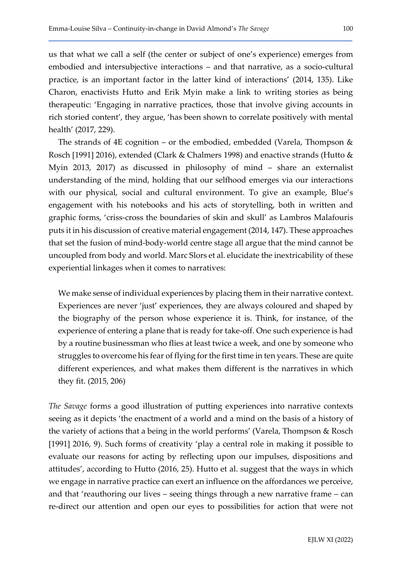us that what we call a self (the center or subject of one's experience) emerges from embodied and intersubjective interactions – and that narrative, as a socio-cultural practice, is an important factor in the latter kind of interactions' (2014, 135). Like Charon, enactivists Hutto and Erik Myin make a link to writing stories as being therapeutic: 'Engaging in narrative practices, those that involve giving accounts in rich storied content', they argue, 'has been shown to correlate positively with mental health' (2017, 229).

The strands of 4E cognition – or the embodied, embedded (Varela, Thompson & Rosch [1991] 2016), extended (Clark & Chalmers 1998) and enactive strands (Hutto & Myin 2013, 2017) as discussed in philosophy of mind – share an externalist understanding of the mind, holding that our selfhood emerges via our interactions with our physical, social and cultural environment. To give an example, Blue's engagement with his notebooks and his acts of storytelling, both in written and graphic forms, 'criss-cross the boundaries of skin and skull' as Lambros Malafouris puts it in his discussion of creative material engagement (2014, 147). These approaches that set the fusion of mind-body-world centre stage all argue that the mind cannot be uncoupled from body and world. Marc Slors et al. elucidate the inextricability of these experiential linkages when it comes to narratives:

We make sense of individual experiences by placing them in their narrative context. Experiences are never 'just' experiences, they are always coloured and shaped by the biography of the person whose experience it is. Think, for instance, of the experience of entering a plane that is ready for take-off. One such experience is had by a routine businessman who flies at least twice a week, and one by someone who struggles to overcome his fear of flying for the first time in ten years. These are quite different experiences, and what makes them different is the narratives in which they fit. (2015, 206)

The Savage forms a good illustration of putting experiences into narrative contexts seeing as it depicts 'the enactment of a world and a mind on the basis of a history of the variety of actions that a being in the world performs' (Varela, Thompson & Rosch [1991] 2016, 9). Such forms of creativity 'play a central role in making it possible to evaluate our reasons for acting by reflecting upon our impulses, dispositions and attitudes', according to Hutto (2016, 25). Hutto et al. suggest that the ways in which we engage in narrative practice can exert an influence on the affordances we perceive, and that 'reauthoring our lives – seeing things through a new narrative frame – can re-direct our attention and open our eyes to possibilities for action that were not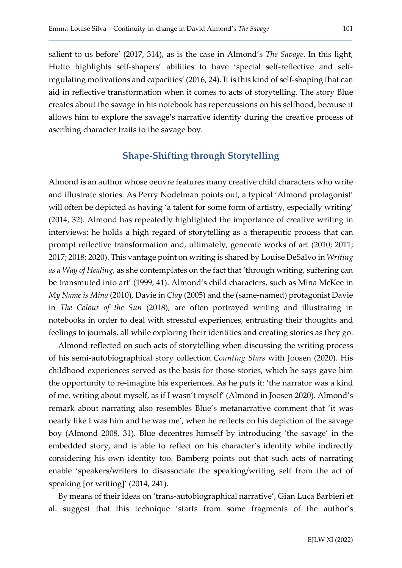salient to us before' (2017, 314), as is the case in Almond's The Savage. In this light, Hutto highlights self-shapers' abilities to have 'special self-reflective and selfregulating motivations and capacities' (2016, 24). It is this kind of self-shaping that can aid in reflective transformation when it comes to acts of storytelling. The story Blue creates about the savage in his notebook has repercussions on his selfhood, because it allows him to explore the savage's narrative identity during the creative process of ascribing character traits to the savage boy.

### Shape-Shifting through Storytelling

Almond is an author whose oeuvre features many creative child characters who write and illustrate stories. As Perry Nodelman points out, a typical 'Almond protagonist' will often be depicted as having 'a talent for some form of artistry, especially writing' (2014, 32). Almond has repeatedly highlighted the importance of creative writing in interviews: he holds a high regard of storytelling as a therapeutic process that can prompt reflective transformation and, ultimately, generate works of art (2010; 2011; 2017; 2018; 2020). This vantage point on writing is shared by Louise DeSalvo in Writing as a Way of Healing, as she contemplates on the fact that 'through writing, suffering can be transmuted into art' (1999, 41). Almond's child characters, such as Mina McKee in My Name is Mina (2010), Davie in Clay (2005) and the (same-named) protagonist Davie in The Colour of the Sun (2018), are often portrayed writing and illustrating in notebooks in order to deal with stressful experiences, entrusting their thoughts and feelings to journals, all while exploring their identities and creating stories as they go.

Almond reflected on such acts of storytelling when discussing the writing process of his semi-autobiographical story collection Counting Stars with Joosen (2020). His childhood experiences served as the basis for those stories, which he says gave him the opportunity to re-imagine his experiences. As he puts it: 'the narrator was a kind of me, writing about myself, as if I wasn't myself' (Almond in Joosen 2020). Almond's remark about narrating also resembles Blue's metanarrative comment that 'it was nearly like I was him and he was me', when he reflects on his depiction of the savage boy (Almond 2008, 31). Blue decentres himself by introducing 'the savage' in the embedded story, and is able to reflect on his character's identity while indirectly considering his own identity too. Bamberg points out that such acts of narrating enable 'speakers/writers to disassociate the speaking/writing self from the act of speaking [or writing]' (2014, 241).

By means of their ideas on 'trans-autobiographical narrative', Gian Luca Barbieri et al. suggest that this technique 'starts from some fragments of the author's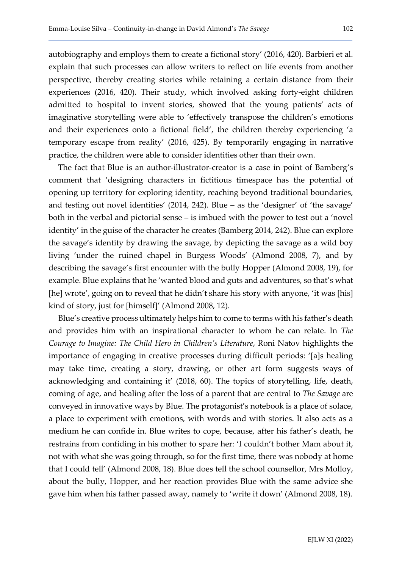autobiography and employs them to create a fictional story' (2016, 420). Barbieri et al. explain that such processes can allow writers to reflect on life events from another perspective, thereby creating stories while retaining a certain distance from their experiences (2016, 420). Their study, which involved asking forty-eight children admitted to hospital to invent stories, showed that the young patients' acts of imaginative storytelling were able to 'effectively transpose the children's emotions and their experiences onto a fictional field', the children thereby experiencing 'a temporary escape from reality' (2016, 425). By temporarily engaging in narrative practice, the children were able to consider identities other than their own.

The fact that Blue is an author-illustrator-creator is a case in point of Bamberg's comment that 'designing characters in fictitious timespace has the potential of opening up territory for exploring identity, reaching beyond traditional boundaries, and testing out novel identities' (2014, 242). Blue – as the 'designer' of 'the savage' both in the verbal and pictorial sense – is imbued with the power to test out a 'novel identity' in the guise of the character he creates (Bamberg 2014, 242). Blue can explore the savage's identity by drawing the savage, by depicting the savage as a wild boy living 'under the ruined chapel in Burgess Woods' (Almond 2008, 7), and by describing the savage's first encounter with the bully Hopper (Almond 2008, 19), for example. Blue explains that he 'wanted blood and guts and adventures, so that's what [he] wrote', going on to reveal that he didn't share his story with anyone, 'it was [his] kind of story, just for [himself]' (Almond 2008, 12).

Blue's creative process ultimately helps him to come to terms with his father's death and provides him with an inspirational character to whom he can relate. In The Courage to Imagine: The Child Hero in Children's Literature, Roni Natov highlights the importance of engaging in creative processes during difficult periods: '[a]s healing may take time, creating a story, drawing, or other art form suggests ways of acknowledging and containing it' (2018, 60). The topics of storytelling, life, death, coming of age, and healing after the loss of a parent that are central to The Savage are conveyed in innovative ways by Blue. The protagonist's notebook is a place of solace, a place to experiment with emotions, with words and with stories. It also acts as a medium he can confide in. Blue writes to cope, because, after his father's death, he restrains from confiding in his mother to spare her: 'I couldn't bother Mam about it, not with what she was going through, so for the first time, there was nobody at home that I could tell' (Almond 2008, 18). Blue does tell the school counsellor, Mrs Molloy, about the bully, Hopper, and her reaction provides Blue with the same advice she gave him when his father passed away, namely to 'write it down' (Almond 2008, 18).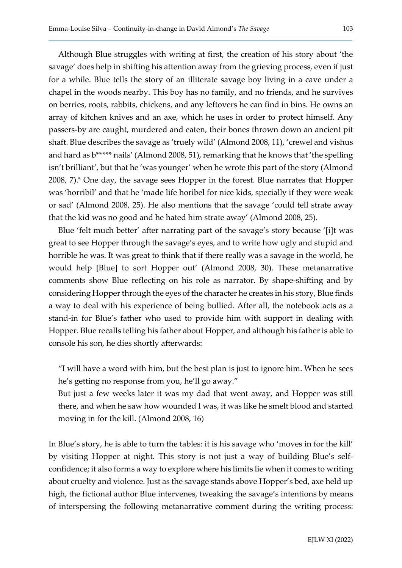Although Blue struggles with writing at first, the creation of his story about 'the savage' does help in shifting his attention away from the grieving process, even if just for a while. Blue tells the story of an illiterate savage boy living in a cave under a chapel in the woods nearby. This boy has no family, and no friends, and he survives on berries, roots, rabbits, chickens, and any leftovers he can find in bins. He owns an array of kitchen knives and an axe, which he uses in order to protect himself. Any passers-by are caught, murdered and eaten, their bones thrown down an ancient pit shaft. Blue describes the savage as 'truely wild' (Almond 2008, 11), 'crewel and vishus and hard as b\*\*\*\*\* nails' (Almond 2008, 51), remarking that he knows that 'the spelling isn't brilliant', but that he 'was younger' when he wrote this part of the story (Almond 2008, 7).<sup>5</sup> One day, the savage sees Hopper in the forest. Blue narrates that Hopper was 'horribil' and that he 'made life horibel for nice kids, specially if they were weak or sad' (Almond 2008, 25). He also mentions that the savage 'could tell strate away that the kid was no good and he hated him strate away' (Almond 2008, 25).

Blue 'felt much better' after narrating part of the savage's story because '[i]t was great to see Hopper through the savage's eyes, and to write how ugly and stupid and horrible he was. It was great to think that if there really was a savage in the world, he would help [Blue] to sort Hopper out' (Almond 2008, 30). These metanarrative comments show Blue reflecting on his role as narrator. By shape-shifting and by considering Hopper through the eyes of the character he creates in his story, Blue finds a way to deal with his experience of being bullied. After all, the notebook acts as a stand-in for Blue's father who used to provide him with support in dealing with Hopper. Blue recalls telling his father about Hopper, and although his father is able to console his son, he dies shortly afterwards:

"I will have a word with him, but the best plan is just to ignore him. When he sees he's getting no response from you, he'll go away."

But just a few weeks later it was my dad that went away, and Hopper was still there, and when he saw how wounded I was, it was like he smelt blood and started moving in for the kill. (Almond 2008, 16)

In Blue's story, he is able to turn the tables: it is his savage who 'moves in for the kill' by visiting Hopper at night. This story is not just a way of building Blue's selfconfidence; it also forms a way to explore where his limits lie when it comes to writing about cruelty and violence. Just as the savage stands above Hopper's bed, axe held up high, the fictional author Blue intervenes, tweaking the savage's intentions by means of interspersing the following metanarrative comment during the writing process: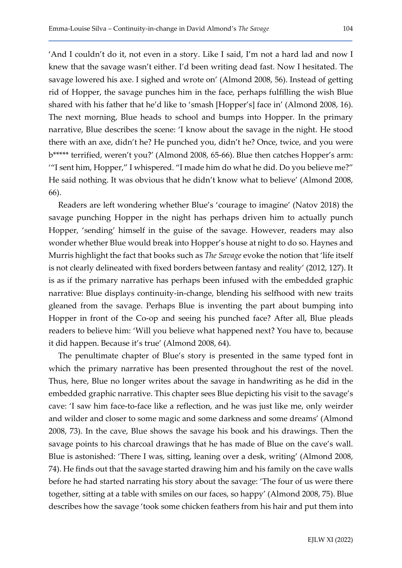'And I couldn't do it, not even in a story. Like I said, I'm not a hard lad and now I knew that the savage wasn't either. I'd been writing dead fast. Now I hesitated. The savage lowered his axe. I sighed and wrote on' (Almond 2008, 56). Instead of getting rid of Hopper, the savage punches him in the face, perhaps fulfilling the wish Blue shared with his father that he'd like to 'smash [Hopper's] face in' (Almond 2008, 16). The next morning, Blue heads to school and bumps into Hopper. In the primary narrative, Blue describes the scene: 'I know about the savage in the night. He stood there with an axe, didn't he? He punched you, didn't he? Once, twice, and you were b\*\*\*\*\* terrified, weren't you?' (Almond 2008, 65-66). Blue then catches Hopper's arm: '"I sent him, Hopper," I whispered. "I made him do what he did. Do you believe me?" He said nothing. It was obvious that he didn't know what to believe' (Almond 2008, 66).

Readers are left wondering whether Blue's 'courage to imagine' (Natov 2018) the savage punching Hopper in the night has perhaps driven him to actually punch Hopper, 'sending' himself in the guise of the savage. However, readers may also wonder whether Blue would break into Hopper's house at night to do so. Haynes and Murris highlight the fact that books such as The Savage evoke the notion that 'life itself is not clearly delineated with fixed borders between fantasy and reality' (2012, 127). It is as if the primary narrative has perhaps been infused with the embedded graphic narrative: Blue displays continuity-in-change, blending his selfhood with new traits gleaned from the savage. Perhaps Blue is inventing the part about bumping into Hopper in front of the Co-op and seeing his punched face? After all, Blue pleads readers to believe him: 'Will you believe what happened next? You have to, because it did happen. Because it's true' (Almond 2008, 64).

The penultimate chapter of Blue's story is presented in the same typed font in which the primary narrative has been presented throughout the rest of the novel. Thus, here, Blue no longer writes about the savage in handwriting as he did in the embedded graphic narrative. This chapter sees Blue depicting his visit to the savage's cave: 'I saw him face-to-face like a reflection, and he was just like me, only weirder and wilder and closer to some magic and some darkness and some dreams' (Almond 2008, 73). In the cave, Blue shows the savage his book and his drawings. Then the savage points to his charcoal drawings that he has made of Blue on the cave's wall. Blue is astonished: 'There I was, sitting, leaning over a desk, writing' (Almond 2008, 74). He finds out that the savage started drawing him and his family on the cave walls before he had started narrating his story about the savage: 'The four of us were there together, sitting at a table with smiles on our faces, so happy' (Almond 2008, 75). Blue describes how the savage 'took some chicken feathers from his hair and put them into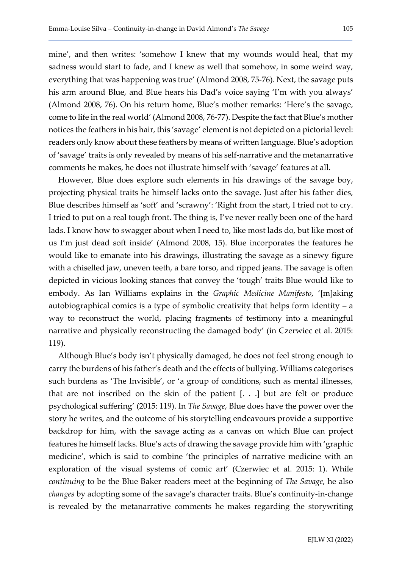mine', and then writes: 'somehow I knew that my wounds would heal, that my sadness would start to fade, and I knew as well that somehow, in some weird way, everything that was happening was true' (Almond 2008, 75-76). Next, the savage puts his arm around Blue, and Blue hears his Dad's voice saying 'I'm with you always' (Almond 2008, 76). On his return home, Blue's mother remarks: 'Here's the savage, come to life in the real world' (Almond 2008, 76-77). Despite the fact that Blue's mother notices the feathers in his hair, this 'savage' element is not depicted on a pictorial level: readers only know about these feathers by means of written language. Blue's adoption of 'savage' traits is only revealed by means of his self-narrative and the metanarrative comments he makes, he does not illustrate himself with 'savage' features at all.

However, Blue does explore such elements in his drawings of the savage boy, projecting physical traits he himself lacks onto the savage. Just after his father dies, Blue describes himself as 'soft' and 'scrawny': 'Right from the start, I tried not to cry. I tried to put on a real tough front. The thing is, I've never really been one of the hard lads. I know how to swagger about when I need to, like most lads do, but like most of us I'm just dead soft inside' (Almond 2008, 15). Blue incorporates the features he would like to emanate into his drawings, illustrating the savage as a sinewy figure with a chiselled jaw, uneven teeth, a bare torso, and ripped jeans. The savage is often depicted in vicious looking stances that convey the 'tough' traits Blue would like to embody. As Ian Williams explains in the Graphic Medicine Manifesto, '[m]aking autobiographical comics is a type of symbolic creativity that helps form identity – a way to reconstruct the world, placing fragments of testimony into a meaningful narrative and physically reconstructing the damaged body' (in Czerwiec et al. 2015: 119).

Although Blue's body isn't physically damaged, he does not feel strong enough to carry the burdens of his father's death and the effects of bullying. Williams categorises such burdens as 'The Invisible', or 'a group of conditions, such as mental illnesses, that are not inscribed on the skin of the patient [. . .] but are felt or produce psychological suffering' (2015: 119). In The Savage, Blue does have the power over the story he writes, and the outcome of his storytelling endeavours provide a supportive backdrop for him, with the savage acting as a canvas on which Blue can project features he himself lacks. Blue's acts of drawing the savage provide him with 'graphic medicine', which is said to combine 'the principles of narrative medicine with an exploration of the visual systems of comic art' (Czerwiec et al. 2015: 1). While continuing to be the Blue Baker readers meet at the beginning of The Savage, he also changes by adopting some of the savage's character traits. Blue's continuity-in-change is revealed by the metanarrative comments he makes regarding the storywriting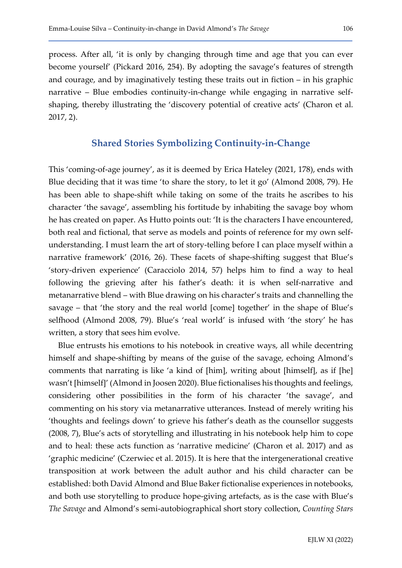process. After all, 'it is only by changing through time and age that you can ever become yourself' (Pickard 2016, 254). By adopting the savage's features of strength and courage, and by imaginatively testing these traits out in fiction – in his graphic narrative – Blue embodies continuity-in-change while engaging in narrative selfshaping, thereby illustrating the 'discovery potential of creative acts' (Charon et al. 2017, 2).

#### Shared Stories Symbolizing Continuity-in-Change

This 'coming-of-age journey', as it is deemed by Erica Hateley (2021, 178), ends with Blue deciding that it was time 'to share the story, to let it go' (Almond 2008, 79). He has been able to shape-shift while taking on some of the traits he ascribes to his character 'the savage', assembling his fortitude by inhabiting the savage boy whom he has created on paper. As Hutto points out: 'It is the characters I have encountered, both real and fictional, that serve as models and points of reference for my own selfunderstanding. I must learn the art of story-telling before I can place myself within a narrative framework' (2016, 26). These facets of shape-shifting suggest that Blue's 'story-driven experience' (Caracciolo 2014, 57) helps him to find a way to heal following the grieving after his father's death: it is when self-narrative and metanarrative blend – with Blue drawing on his character's traits and channelling the savage – that 'the story and the real world [come] together' in the shape of Blue's selfhood (Almond 2008, 79). Blue's 'real world' is infused with 'the story' he has written, a story that sees him evolve.

Blue entrusts his emotions to his notebook in creative ways, all while decentring himself and shape-shifting by means of the guise of the savage, echoing Almond's comments that narrating is like 'a kind of [him], writing about [himself], as if [he] wasn't [himself]' (Almond in Joosen 2020). Blue fictionalises his thoughts and feelings, considering other possibilities in the form of his character 'the savage', and commenting on his story via metanarrative utterances. Instead of merely writing his 'thoughts and feelings down' to grieve his father's death as the counsellor suggests (2008, 7), Blue's acts of storytelling and illustrating in his notebook help him to cope and to heal: these acts function as 'narrative medicine' (Charon et al. 2017) and as 'graphic medicine' (Czerwiec et al. 2015). It is here that the intergenerational creative transposition at work between the adult author and his child character can be established: both David Almond and Blue Baker fictionalise experiences in notebooks, and both use storytelling to produce hope-giving artefacts, as is the case with Blue's The Savage and Almond's semi-autobiographical short story collection, Counting Stars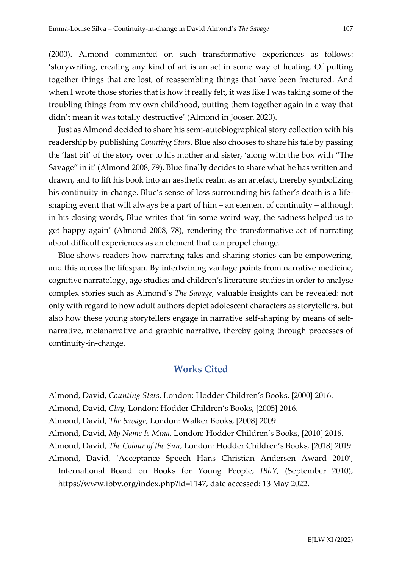(2000). Almond commented on such transformative experiences as follows: 'storywriting, creating any kind of art is an act in some way of healing. Of putting together things that are lost, of reassembling things that have been fractured. And when I wrote those stories that is how it really felt, it was like I was taking some of the troubling things from my own childhood, putting them together again in a way that didn't mean it was totally destructive' (Almond in Joosen 2020).

Just as Almond decided to share his semi-autobiographical story collection with his readership by publishing *Counting Stars*, Blue also chooses to share his tale by passing the 'last bit' of the story over to his mother and sister, 'along with the box with "The Savage" in it' (Almond 2008, 79). Blue finally decides to share what he has written and drawn, and to lift his book into an aesthetic realm as an artefact, thereby symbolizing his continuity-in-change. Blue's sense of loss surrounding his father's death is a lifeshaping event that will always be a part of him – an element of continuity – although in his closing words, Blue writes that 'in some weird way, the sadness helped us to get happy again' (Almond 2008, 78), rendering the transformative act of narrating about difficult experiences as an element that can propel change.

Blue shows readers how narrating tales and sharing stories can be empowering, and this across the lifespan. By intertwining vantage points from narrative medicine, cognitive narratology, age studies and children's literature studies in order to analyse complex stories such as Almond's The Savage, valuable insights can be revealed: not only with regard to how adult authors depict adolescent characters as storytellers, but also how these young storytellers engage in narrative self-shaping by means of selfnarrative, metanarrative and graphic narrative, thereby going through processes of continuity-in-change.

#### Works Cited

Almond, David, Counting Stars, London: Hodder Children's Books, [2000] 2016.

Almond, David, Clay, London: Hodder Children's Books, [2005] 2016.

Almond, David, The Savage, London: Walker Books, [2008] 2009.

Almond, David, My Name Is Mina, London: Hodder Children's Books, [2010] 2016.

Almond, David, The Colour of the Sun, London: Hodder Children's Books, [2018] 2019.

Almond, David, 'Acceptance Speech Hans Christian Andersen Award 2010', International Board on Books for Young People, IBbY, (September 2010), https://www.ibby.org/index.php?id=1147, date accessed: 13 May 2022.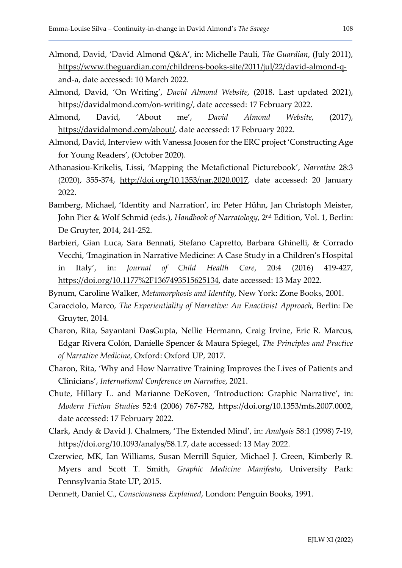- Almond, David, 'David Almond Q&A', in: Michelle Pauli, The Guardian, (July 2011), https://www.theguardian.com/childrens-books-site/2011/jul/22/david-almond-qand-a, date accessed: 10 March 2022.
- Almond, David, 'On Writing', David Almond Website, (2018. Last updated 2021), https://davidalmond.com/on-writing/, date accessed: 17 February 2022.
- Almond, David, 'About me', David Almond Website, (2017), https://davidalmond.com/about/, date accessed: 17 February 2022.
- Almond, David, Interview with Vanessa Joosen for the ERC project 'Constructing Age for Young Readers', (October 2020).
- Athanasiou-Krikelis, Lissi, 'Mapping the Metafictional Picturebook', Narrative 28:3 (2020), 355-374, http://doi.org/10.1353/nar.2020.0017, date accessed: 20 January 2022.
- Bamberg, Michael, 'Identity and Narration', in: Peter Hühn, Jan Christoph Meister, John Pier & Wolf Schmid (eds.), Handbook of Narratology, 2nd Edition, Vol. 1, Berlin: De Gruyter, 2014, 241-252.
- Barbieri, Gian Luca, Sara Bennati, Stefano Capretto, Barbara Ghinelli, & Corrado Vecchi, 'Imagination in Narrative Medicine: A Case Study in a Children's Hospital in Italy', in: Journal of Child Health Care, 20:4 (2016) 419-427, https://doi.org/10.1177%2F1367493515625134, date accessed: 13 May 2022.
- Bynum, Caroline Walker, Metamorphosis and Identity, New York: Zone Books, 2001.
- Caracciolo, Marco, The Experientiality of Narrative: An Enactivist Approach, Berlin: De Gruyter, 2014.
- Charon, Rita, Sayantani DasGupta, Nellie Hermann, Craig Irvine, Eric R. Marcus, Edgar Rivera Colón, Danielle Spencer & Maura Spiegel, The Principles and Practice of Narrative Medicine, Oxford: Oxford UP, 2017.
- Charon, Rita, 'Why and How Narrative Training Improves the Lives of Patients and Clinicians', International Conference on Narrative, 2021.
- Chute, Hillary L. and Marianne DeKoven, 'Introduction: Graphic Narrative', in: Modern Fiction Studies 52:4 (2006) 767-782, https://doi.org/10.1353/mfs.2007.0002, date accessed: 17 February 2022.
- Clark, Andy & David J. Chalmers, 'The Extended Mind', in: Analysis 58:1 (1998) 7-19, https://doi.org/10.1093/analys/58.1.7, date accessed: 13 May 2022.
- Czerwiec, MK, Ian Williams, Susan Merrill Squier, Michael J. Green, Kimberly R. Myers and Scott T. Smith, Graphic Medicine Manifesto, University Park: Pennsylvania State UP, 2015.
- Dennett, Daniel C., Consciousness Explained, London: Penguin Books, 1991.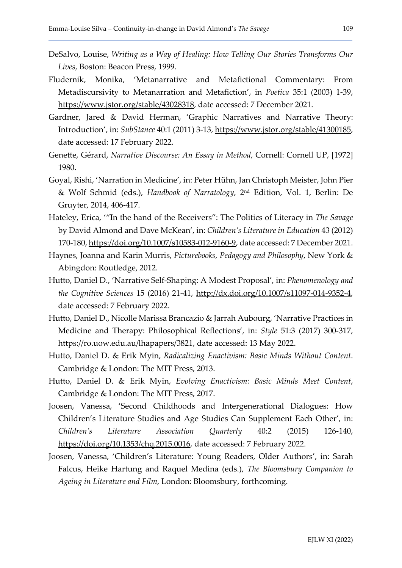- DeSalvo, Louise, Writing as a Way of Healing: How Telling Our Stories Transforms Our Lives, Boston: Beacon Press, 1999.
- Fludernik, Monika, 'Metanarrative and Metafictional Commentary: From Metadiscursivity to Metanarration and Metafiction', in Poetica 35:1 (2003) 1-39, https://www.jstor.org/stable/43028318, date accessed: 7 December 2021.
- Gardner, Jared & David Herman, 'Graphic Narratives and Narrative Theory: Introduction', in: SubStance 40:1 (2011) 3-13, https://www.jstor.org/stable/41300185, date accessed: 17 February 2022.
- Genette, Gérard, Narrative Discourse: An Essay in Method, Cornell: Cornell UP, [1972] 1980.
- Goyal, Rishi, 'Narration in Medicine', in: Peter Hühn, Jan Christoph Meister, John Pier & Wolf Schmid (eds.), Handbook of Narratology, 2nd Edition, Vol. 1, Berlin: De Gruyter, 2014, 406-417.
- Hateley, Erica, '"In the hand of the Receivers": The Politics of Literacy in The Savage by David Almond and Dave McKean', in: Children's Literature in Education 43 (2012) 170-180, https://doi.org/10.1007/s10583-012-9160-9, date accessed: 7 December 2021.
- Haynes, Joanna and Karin Murris, Picturebooks, Pedagogy and Philosophy, New York & Abingdon: Routledge, 2012.
- Hutto, Daniel D., 'Narrative Self-Shaping: A Modest Proposal', in: Phenomenology and the Cognitive Sciences 15 (2016) 21-41, http://dx.doi.org/10.1007/s11097-014-9352-4, date accessed: 7 February 2022.
- Hutto, Daniel D., Nicolle Marissa Brancazio & Jarrah Aubourg, 'Narrative Practices in Medicine and Therapy: Philosophical Reflections', in: Style 51:3 (2017) 300-317, https://ro.uow.edu.au/lhapapers/3821, date accessed: 13 May 2022.
- Hutto, Daniel D. & Erik Myin, Radicalizing Enactivism: Basic Minds Without Content. Cambridge & London: The MIT Press, 2013.
- Hutto, Daniel D. & Erik Myin, Evolving Enactivism: Basic Minds Meet Content, Cambridge & London: The MIT Press, 2017.
- Joosen, Vanessa, 'Second Childhoods and Intergenerational Dialogues: How Children's Literature Studies and Age Studies Can Supplement Each Other', in: Children's Literature Association Quarterly 40:2 (2015) 126-140, https://doi.org/10.1353/chq.2015.0016, date accessed: 7 February 2022.
- Joosen, Vanessa, 'Children's Literature: Young Readers, Older Authors', in: Sarah Falcus, Heike Hartung and Raquel Medina (eds.), The Bloomsbury Companion to Ageing in Literature and Film, London: Bloomsbury, forthcoming.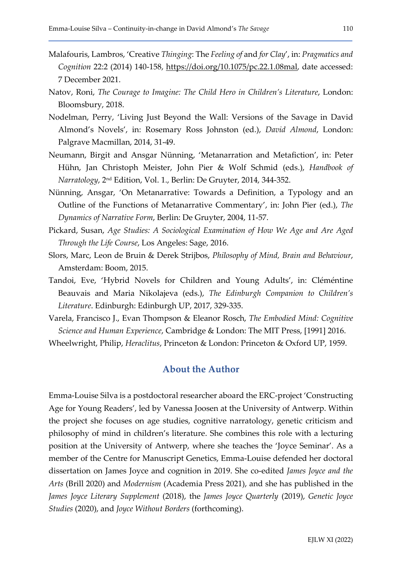- Malafouris, Lambros, 'Creative Thinging: The Feeling of and for Clay', in: Pragmatics and Cognition 22:2 (2014) 140-158, https://doi.org/10.1075/pc.22.1.08mal, date accessed: 7 December 2021.
- Natov, Roni, The Courage to Imagine: The Child Hero in Children's Literature, London: Bloomsbury, 2018.
- Nodelman, Perry, 'Living Just Beyond the Wall: Versions of the Savage in David Almond's Novels', in: Rosemary Ross Johnston (ed.), David Almond, London: Palgrave Macmillan, 2014, 31-49.
- Neumann, Birgit and Ansgar Nünning, 'Metanarration and Metafiction', in: Peter Hühn, Jan Christoph Meister, John Pier & Wolf Schmid (eds.), Handbook of Narratology, 2nd Edition, Vol. 1., Berlin: De Gruyter, 2014, 344-352.
- Nünning, Ansgar, 'On Metanarrative: Towards a Definition, a Typology and an Outline of the Functions of Metanarrative Commentary', in: John Pier (ed.), The Dynamics of Narrative Form, Berlin: De Gruyter, 2004, 11-57.
- Pickard, Susan, Age Studies: A Sociological Examination of How We Age and Are Aged Through the Life Course, Los Angeles: Sage, 2016.
- Slors, Marc, Leon de Bruin & Derek Strijbos, Philosophy of Mind, Brain and Behaviour, Amsterdam: Boom, 2015.
- Tandoi, Eve, 'Hybrid Novels for Children and Young Adults', in: Cléméntine Beauvais and Maria Nikolajeva (eds.), The Edinburgh Companion to Children's Literature. Edinburgh: Edinburgh UP, 2017, 329-335.
- Varela, Francisco J., Evan Thompson & Eleanor Rosch, The Embodied Mind: Cognitive Science and Human Experience, Cambridge & London: The MIT Press, [1991] 2016.
- Wheelwright, Philip, Heraclitus, Princeton & London: Princeton & Oxford UP, 1959.

### About the Author

Emma-Louise Silva is a postdoctoral researcher aboard the ERC-project 'Constructing Age for Young Readers', led by Vanessa Joosen at the University of Antwerp. Within the project she focuses on age studies, cognitive narratology, genetic criticism and philosophy of mind in children's literature. She combines this role with a lecturing position at the University of Antwerp, where she teaches the 'Joyce Seminar'. As a member of the Centre for Manuscript Genetics, Emma-Louise defended her doctoral dissertation on James Joyce and cognition in 2019. She co-edited James Joyce and the Arts (Brill 2020) and Modernism (Academia Press 2021), and she has published in the James Joyce Literary Supplement (2018), the James Joyce Quarterly (2019), Genetic Joyce Studies (2020), and Joyce Without Borders (forthcoming).